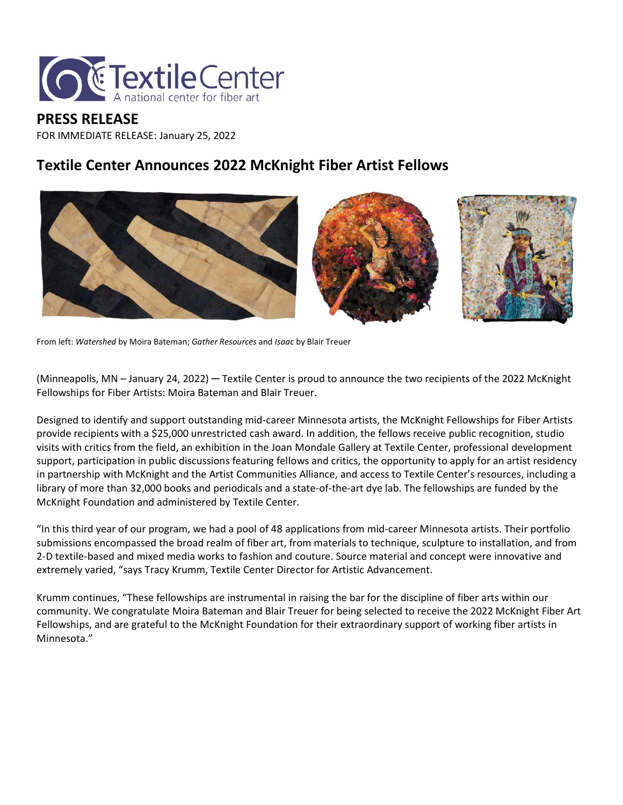

#### **PRESS RELEASE** FOR IMMEDIATE RELEASE: January 25, 2022

### **Textile Center Announces 2022 McKnight Fiber Artist Fellows**



From left: *Watershed* by Moira Bateman; *Gather Resources* and *Isaac* by Blair Treuer

(Minneapolis, MN – January 24, 2022) ─ Textile Center is proud to announce the two recipients of the 2022 McKnight Fellowships for Fiber Artists: Moira Bateman and Blair Treuer.

Designed to identify and support outstanding mid-career Minnesota artists, the McKnight Fellowships for Fiber Artists provide recipients with a \$25,000 unrestricted cash award. In addition, the fellows receive public recognition, studio visits with critics from the field, an exhibition in the Joan Mondale Gallery at Textile Center, professional development support, participation in public discussions featuring fellows and critics, the opportunity to apply for an artist residency in partnership with McKnight and the Artist Communities Alliance, and access to Textile Center's resources, including a library of more than 32,000 books and periodicals and a state-of-the-art dye lab. The fellowships are funded by the McKnight Foundation and administered by Textile Center.

"In this third year of our program, we had a pool of 48 applications from mid-career Minnesota artists. Their portfolio submissions encompassed the broad realm of fiber art, from materials to technique, sculpture to installation, and from 2-D textile-based and mixed media works to fashion and couture. Source material and concept were innovative and extremely varied, "says Tracy Krumm, Textile Center Director for Artistic Advancement.

Krumm continues, "These fellowships are instrumental in raising the bar for the discipline of fiber arts within our community. We congratulate Moira Bateman and Blair Treuer for being selected to receive the 2022 McKnight Fiber Art Fellowships, and are grateful to the McKnight Foundation for their extraordinary support of working fiber artists in Minnesota."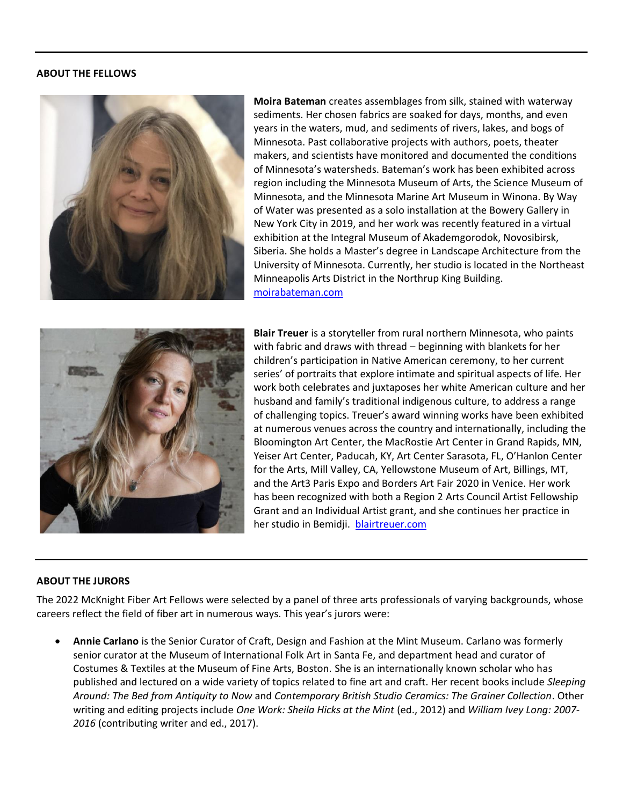#### **ABOUT THE FELLOWS**



**Moira Bateman** creates assemblages from silk, stained with waterway sediments. Her chosen fabrics are soaked for days, months, and even years in the waters, mud, and sediments of rivers, lakes, and bogs of Minnesota. Past collaborative projects with authors, poets, theater makers, and scientists have monitored and documented the conditions of Minnesota's watersheds. Bateman's work has been exhibited across region including the Minnesota Museum of Arts, the Science Museum of Minnesota, and the Minnesota Marine Art Museum in Winona. By Way of Water was presented as a solo installation at the Bowery Gallery in New York City in 2019, and her work was recently featured in a virtual exhibition at the Integral Museum of Akademgorodok, Novosibirsk, Siberia. She holds a Master's degree in Landscape Architecture from the University of Minnesota. Currently, her studio is located in the Northeast Minneapolis Arts District in the Northrup King Building. [moirabateman.com](https://www.moirabateman.com/)



**Blair Treuer** is a storyteller from rural northern Minnesota, who paints with fabric and draws with thread – beginning with blankets for her children's participation in Native American ceremony, to her current series' of portraits that explore intimate and spiritual aspects of life. Her work both celebrates and juxtaposes her white American culture and her husband and family's traditional indigenous culture, to address a range of challenging topics. Treuer's award winning works have been exhibited at numerous venues across the country and internationally, including the Bloomington Art Center, the MacRostie Art Center in Grand Rapids, MN, Yeiser Art Center, Paducah, KY, Art Center Sarasota, FL, O'Hanlon Center for the Arts, Mill Valley, CA, Yellowstone Museum of Art, Billings, MT, and the Art3 Paris Expo and Borders Art Fair 2020 in Venice. Her work has been recognized with both a Region 2 Arts Council Artist Fellowship Grant and an Individual Artist grant, and she continues her practice in her studio in Bemidji. [blairtreuer.com](http://blairtreuer.com/)

#### **ABOUT THE JURORS**

The 2022 McKnight Fiber Art Fellows were selected by a panel of three arts professionals of varying backgrounds, whose careers reflect the field of fiber art in numerous ways. This year's jurors were:

• **Annie Carlano** is the Senior Curator of Craft, Design and Fashion at the Mint Museum. Carlano was formerly senior curator at the Museum of International Folk Art in Santa Fe, and department head and curator of Costumes & Textiles at the Museum of Fine Arts, Boston. She is an internationally known scholar who has published and lectured on a wide variety of topics related to fine art and craft. Her recent books include *Sleeping Around: The Bed from Antiquity to Now* and *Contemporary British Studio Ceramics: The Grainer Collection*. Other writing and editing projects include *One Work: Sheila Hicks at the Mint* (ed., 2012) and *William Ivey Long: 2007- 2016* (contributing writer and ed., 2017).